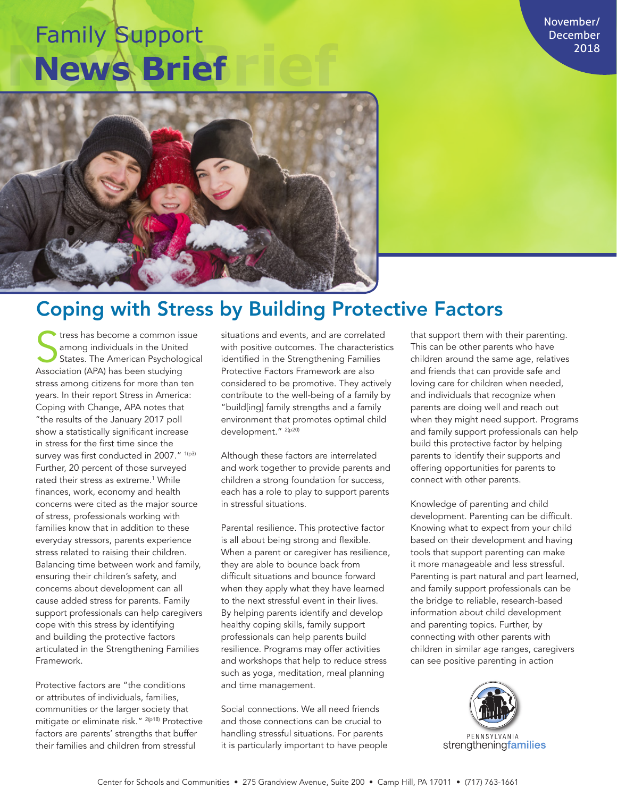# **News Brief** Family Support November/



### Coping with Stress by Building Protective Factors

States has become a common is<br>
among individuals in the United<br>
States. The American Psycholog<br>
Association (APA) has been studying tress has become a common issue among individuals in the United States. The American Psychological stress among citizens for more than ten years. In their report Stress in America: Coping with Change, APA notes that "the results of the January 2017 poll show a statistically significant increase in stress for the first time since the survey was first conducted in 2007." <sup>1(p3)</sup> Further, 20 percent of those surveyed rated their stress as extreme.<sup>1</sup> While finances, work, economy and health concerns were cited as the major source of stress, professionals working with families know that in addition to these everyday stressors, parents experience stress related to raising their children. Balancing time between work and family, ensuring their children's safety, and concerns about development can all cause added stress for parents. Family support professionals can help caregivers cope with this stress by identifying and building the protective factors articulated in the Strengthening Families Framework.

Protective factors are "the conditions or attributes of individuals, families, communities or the larger society that mitigate or eliminate risk." <sup>2(p18)</sup> Protective factors are parents' strengths that buffer their families and children from stressful

situations and events, and are correlated with positive outcomes. The characteristics identified in the Strengthening Families Protective Factors Framework are also considered to be promotive. They actively contribute to the well-being of a family by "build[ing] family strengths and a family environment that promotes optimal child development." <sup>2(p20)</sup>

Although these factors are interrelated and work together to provide parents and children a strong foundation for success, each has a role to play to support parents in stressful situations.

Parental resilience. This protective factor is all about being strong and flexible. When a parent or caregiver has resilience, they are able to bounce back from difficult situations and bounce forward when they apply what they have learned to the next stressful event in their lives. By helping parents identify and develop healthy coping skills, family support professionals can help parents build resilience. Programs may offer activities and workshops that help to reduce stress such as yoga, meditation, meal planning and time management.

Social connections. We all need friends and those connections can be crucial to handling stressful situations. For parents it is particularly important to have people that support them with their parenting. This can be other parents who have children around the same age, relatives and friends that can provide safe and loving care for children when needed, and individuals that recognize when parents are doing well and reach out when they might need support. Programs and family support professionals can help build this protective factor by helping parents to identify their supports and offering opportunities for parents to connect with other parents.

Knowledge of parenting and child development. Parenting can be difficult. Knowing what to expect from your child based on their development and having tools that support parenting can make it more manageable and less stressful. Parenting is part natural and part learned, and family support professionals can be the bridge to reliable, research-based information about child development and parenting topics. Further, by connecting with other parents with children in similar age ranges, caregivers can see positive parenting in action

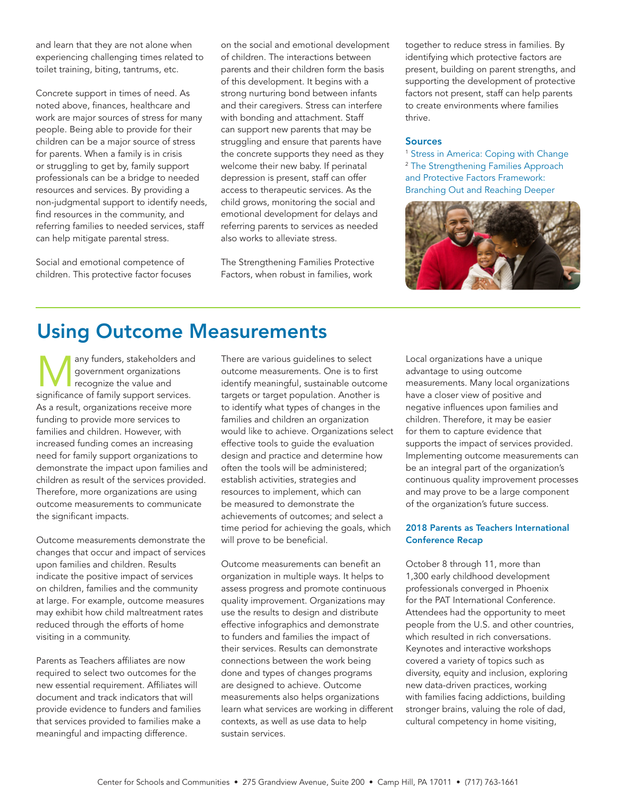and learn that they are not alone when experiencing challenging times related to toilet training, biting, tantrums, etc.

Concrete support in times of need. As noted above, finances, healthcare and work are major sources of stress for many people. Being able to provide for their children can be a major source of stress for parents. When a family is in crisis or struggling to get by, family support professionals can be a bridge to needed resources and services. By providing a non-judgmental support to identify needs, find resources in the community, and referring families to needed services, staff can help mitigate parental stress.

Social and emotional competence of children. This protective factor focuses on the social and emotional development of children. The interactions between parents and their children form the basis of this development. It begins with a strong nurturing bond between infants and their caregivers. Stress can interfere with bonding and attachment. Staff can support new parents that may be struggling and ensure that parents have the concrete supports they need as they welcome their new baby. If perinatal depression is present, staff can offer access to therapeutic services. As the child grows, monitoring the social and emotional development for delays and referring parents to services as needed also works to alleviate stress.

The Strengthening Families Protective Factors, when robust in families, work

together to reduce stress in families. By identifying which protective factors are present, building on parent strengths, and supporting the development of protective factors not present, staff can help parents to create environments where families thrive.

#### Sources

<sup>1</sup> [Stress in America: Coping with Change](https://www.apa.org/news/press/releases/stress/2016/coping-with-change.pdf) <sup>2</sup> The Strengthening Families Approach [and Protective Factors Framework:](https://cssp.org/wp-content/uploads/2018/11/Branching-Out-and-Reaching-Deeper.pdf)  [Branching Out and Reaching Deeper](https://cssp.org/wp-content/uploads/2018/11/Branching-Out-and-Reaching-Deeper.pdf)



### Using Outcome Measurements

any funders, stakeholders and government organizations recognize the value and significance of family support services. As a result, organizations receive more funding to provide more services to families and children. However, with increased funding comes an increasing need for family support organizations to demonstrate the impact upon families and children as result of the services provided. Therefore, more organizations are using outcome measurements to communicate the significant impacts.

Outcome measurements demonstrate the changes that occur and impact of services upon families and children. Results indicate the positive impact of services on children, families and the community at large. For example, outcome measures may exhibit how child maltreatment rates reduced through the efforts of home visiting in a community.

Parents as Teachers affiliates are now required to select two outcomes for the new essential requirement. Affiliates will document and track indicators that will provide evidence to funders and families that services provided to families make a meaningful and impacting difference.

There are various guidelines to select outcome measurements. One is to first identify meaningful, sustainable outcome targets or target population. Another is to identify what types of changes in the families and children an organization would like to achieve. Organizations select effective tools to guide the evaluation design and practice and determine how often the tools will be administered; establish activities, strategies and resources to implement, which can be measured to demonstrate the achievements of outcomes; and select a time period for achieving the goals, which will prove to be beneficial.

Outcome measurements can benefit an organization in multiple ways. It helps to assess progress and promote continuous quality improvement. Organizations may use the results to design and distribute effective infographics and demonstrate to funders and families the impact of their services. Results can demonstrate connections between the work being done and types of changes programs are designed to achieve. Outcome measurements also helps organizations learn what services are working in different contexts, as well as use data to help sustain services.

Local organizations have a unique advantage to using outcome measurements. Many local organizations have a closer view of positive and negative influences upon families and children. Therefore, it may be easier for them to capture evidence that supports the impact of services provided. Implementing outcome measurements can be an integral part of the organization's continuous quality improvement processes and may prove to be a large component of the organization's future success.

#### 2018 Parents as Teachers International Conference Recap

October 8 through 11, more than 1,300 early childhood development professionals converged in Phoenix for the PAT International Conference. Attendees had the opportunity to meet people from the U.S. and other countries, which resulted in rich conversations. Keynotes and interactive workshops covered a variety of topics such as diversity, equity and inclusion, exploring new data-driven practices, working with families facing addictions, building stronger brains, valuing the role of dad, cultural competency in home visiting,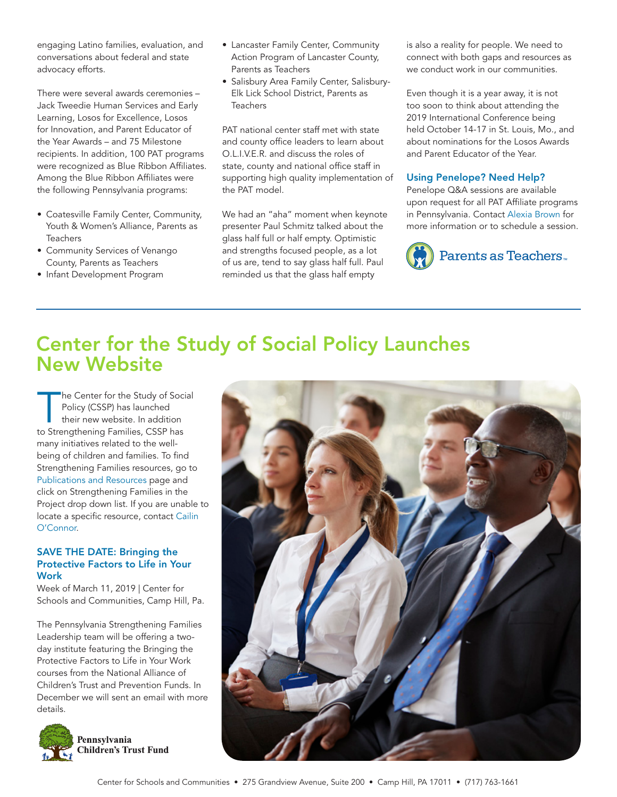engaging Latino families, evaluation, and conversations about federal and state advocacy efforts.

There were several awards ceremonies – Jack Tweedie Human Services and Early Learning, Losos for Excellence, Losos for Innovation, and Parent Educator of the Year Awards – and 75 Milestone recipients. In addition, 100 PAT programs were recognized as Blue Ribbon Affiliates. Among the Blue Ribbon Affiliates were the following Pennsylvania programs:

- Coatesville Family Center, Community, Youth & Women's Alliance, Parents as **Teachers**
- Community Services of Venango County, Parents as Teachers
- Infant Development Program
- Lancaster Family Center, Community Action Program of Lancaster County, Parents as Teachers
- Salisbury Area Family Center, Salisbury-Elk Lick School District, Parents as **Teachers**

PAT national center staff met with state and county office leaders to learn about O.L.I.V.E.R. and discuss the roles of state, county and national office staff in supporting high quality implementation of the PAT model.

We had an "aha" moment when keynote presenter Paul Schmitz talked about the glass half full or half empty. Optimistic and strengths focused people, as a lot of us are, tend to say glass half full. Paul reminded us that the glass half empty

is also a reality for people. We need to connect with both gaps and resources as we conduct work in our communities.

Even though it is a year away, it is not too soon to think about attending the 2019 International Conference being held October 14-17 in St. Louis, Mo., and about nominations for the Losos Awards and Parent Educator of the Year.

#### Using Penelope? Need Help?

Penelope Q&A sessions are available upon request for all PAT Affiliate programs in Pennsylvania. Contact [Alexia Brown](mailto:abrown@csc.csiu.org) for more information or to schedule a session.



### Center for the Study of Social Policy Launches New Website

The Center for the Study of Social Policy (CSSP) has launched their new website. In addition to Strengthening Families, CSSP has many initiatives related to the wellbeing of children and families. To find Strengthening Families resources, go to [Publications and Resources](https://cssp.org/publications-resources/) page and click on Strengthening Families in the Project drop down list. If you are unable to locate a specific resource, contact [Cailin](mailto:cailin.oconnor@cssp.org)  [O'Connor.](mailto:cailin.oconnor@cssp.org)

#### SAVE THE DATE: Bringing the Protective Factors to Life in Your **Work**

Week of March 11, 2019 | Center for Schools and Communities, Camp Hill, Pa.

The Pennsylvania Strengthening Families Leadership team will be offering a twoday institute featuring the Bringing the Protective Factors to Life in Your Work courses from the National Alliance of Children's Trust and Prevention Funds. In December we will sent an email with more details.



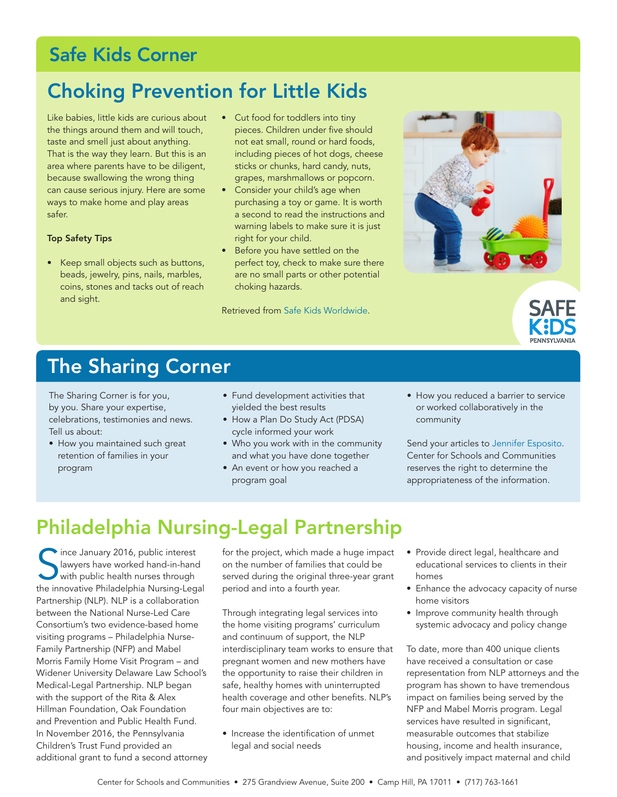### Safe Kids Corner

### Choking Prevention for Little Kids

Like babies, little kids are curious about the things around them and will touch, taste and smell just about anything. That is the way they learn. But this is an area where parents have to be diligent, because swallowing the wrong thing can cause serious injury. Here are some ways to make home and play areas safer.

#### Top Safety Tips

- Keep small objects such as buttons, beads, jewelry, pins, nails, marbles, coins, stones and tacks out of reach and sight.
- Cut food for toddlers into tiny pieces. Children under five should not eat small, round or hard foods, including pieces of hot dogs, cheese sticks or chunks, hard candy, nuts, grapes, marshmallows or popcorn.
- Consider your child's age when purchasing a toy or game. It is worth a second to read the instructions and warning labels to make sure it is just right for your child.
- Before you have settled on the perfect toy, check to make sure there are no small parts or other potential choking hazards.

Retrieved from [Safe Kids Worldwide.](https://www.safekids.org/safetytips/field_age/little-kids-1%E2%80%934-years/field_risks/choking-and-strangulation)



### The Sharing Corner

The Sharing Corner is for you, by you. Share your expertise, celebrations, testimonies and news. Tell us about:

- How you maintained such great retention of families in your program
- Fund development activities that yielded the best results
- How a Plan Do Study Act (PDSA) cycle informed your work
- Who you work with in the community and what you have done together
- An event or how you reached a program goal
- How you reduced a barrier to service or worked collaboratively in the community

Send your articles to [Jennifer Esposito.](mailto:jesposito@csc.csiu.org) Center for Schools and Communities reserves the right to determine the appropriateness of the information.

## Philadelphia Nursing-Legal Partnership

Since January 2016, public interest<br>
I awyers have worked hand-in-hand<br>
with public health nurses through<br>
the innovative Philadelphia Nursing-Legal Ince January 2016, public interest lawyers have worked hand-in-hand with public health nurses through Partnership (NLP). NLP is a collaboration between the National Nurse-Led Care Consortium's two evidence-based home visiting programs – Philadelphia Nurse-Family Partnership (NFP) and Mabel Morris Family Home Visit Program – and Widener University Delaware Law School's Medical-Legal Partnership. NLP began with the support of the Rita & Alex Hillman Foundation, Oak Foundation and Prevention and Public Health Fund. In November 2016, the Pennsylvania Children's Trust Fund provided an additional grant to fund a second attorney

for the project, which made a huge impact on the number of families that could be served during the original three-year grant period and into a fourth year.

Through integrating legal services into the home visiting programs' curriculum and continuum of support, the NLP interdisciplinary team works to ensure that pregnant women and new mothers have the opportunity to raise their children in safe, healthy homes with uninterrupted health coverage and other benefits. NLP's four main objectives are to:

• Increase the identification of unmet legal and social needs

- Provide direct legal, healthcare and educational services to clients in their homes
- Enhance the advocacy capacity of nurse home visitors
- Improve community health through systemic advocacy and policy change

To date, more than 400 unique clients have received a consultation or case representation from NLP attorneys and the program has shown to have tremendous impact on families being served by the NFP and Mabel Morris program. Legal services have resulted in significant, measurable outcomes that stabilize housing, income and health insurance, and positively impact maternal and child